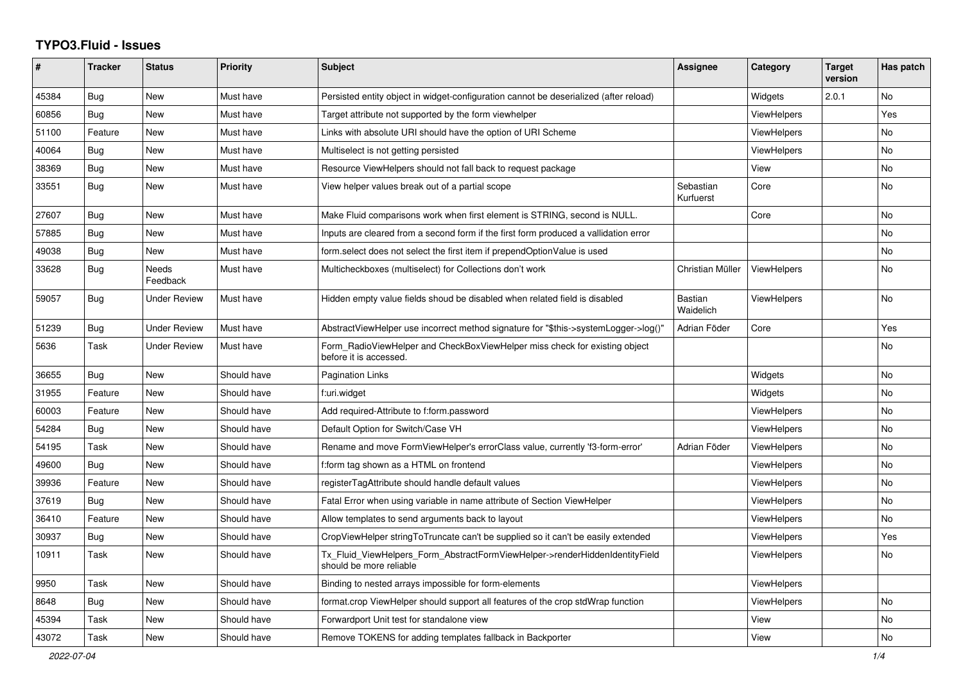## **TYPO3.Fluid - Issues**

| ∦     | <b>Tracker</b> | <b>Status</b>            | <b>Priority</b> | <b>Subject</b>                                                                                         | Assignee               | Category           | <b>Target</b><br>version | Has patch      |
|-------|----------------|--------------------------|-----------------|--------------------------------------------------------------------------------------------------------|------------------------|--------------------|--------------------------|----------------|
| 45384 | Bug            | <b>New</b>               | Must have       | Persisted entity object in widget-configuration cannot be deserialized (after reload)                  |                        | Widgets            | 2.0.1                    | N <sub>o</sub> |
| 60856 | Bug            | New                      | Must have       | Target attribute not supported by the form viewhelper                                                  |                        | <b>ViewHelpers</b> |                          | Yes            |
| 51100 | Feature        | New                      | Must have       | Links with absolute URI should have the option of URI Scheme                                           |                        | <b>ViewHelpers</b> |                          | No             |
| 40064 | Bug            | New                      | Must have       | Multiselect is not getting persisted                                                                   |                        | ViewHelpers        |                          | No             |
| 38369 | Bug            | <b>New</b>               | Must have       | Resource ViewHelpers should not fall back to request package                                           |                        | View               |                          | <b>No</b>      |
| 33551 | Bug            | <b>New</b>               | Must have       | View helper values break out of a partial scope                                                        | Sebastian<br>Kurfuerst | Core               |                          | <b>No</b>      |
| 27607 | Bug            | New                      | Must have       | Make Fluid comparisons work when first element is STRING, second is NULL.                              |                        | Core               |                          | <b>No</b>      |
| 57885 | Bug            | New                      | Must have       | Inputs are cleared from a second form if the first form produced a vallidation error                   |                        |                    |                          | No.            |
| 49038 | Bug            | New                      | Must have       | form select does not select the first item if prependOptionValue is used                               |                        |                    |                          | No             |
| 33628 | Bug            | <b>Needs</b><br>Feedback | Must have       | Multicheckboxes (multiselect) for Collections don't work                                               | Christian Müller       | <b>ViewHelpers</b> |                          | No             |
| 59057 | Bug            | <b>Under Review</b>      | Must have       | Hidden empty value fields shoud be disabled when related field is disabled                             | Bastian<br>Waidelich   | <b>ViewHelpers</b> |                          | <b>No</b>      |
| 51239 | Bug            | Under Review             | Must have       | AbstractViewHelper use incorrect method signature for "\$this->systemLogger->log()"                    | Adrian Föder           | Core               |                          | Yes            |
| 5636  | Task           | <b>Under Review</b>      | Must have       | Form_RadioViewHelper and CheckBoxViewHelper miss check for existing object<br>before it is accessed.   |                        |                    |                          | <b>No</b>      |
| 36655 | Bug            | New                      | Should have     | <b>Pagination Links</b>                                                                                |                        | Widgets            |                          | No             |
| 31955 | Feature        | New                      | Should have     | f:uri.widget                                                                                           |                        | Widgets            |                          | <b>No</b>      |
| 60003 | Feature        | New                      | Should have     | Add required-Attribute to f:form.password                                                              |                        | ViewHelpers        |                          | No             |
| 54284 | Bug            | New                      | Should have     | Default Option for Switch/Case VH                                                                      |                        | <b>ViewHelpers</b> |                          | <b>No</b>      |
| 54195 | Task           | New                      | Should have     | Rename and move FormViewHelper's errorClass value, currently 'f3-form-error'                           | Adrian Föder           | <b>ViewHelpers</b> |                          | No             |
| 49600 | Bug            | New                      | Should have     | f:form tag shown as a HTML on frontend                                                                 |                        | ViewHelpers        |                          | <b>No</b>      |
| 39936 | Feature        | New                      | Should have     | registerTagAttribute should handle default values                                                      |                        | ViewHelpers        |                          | No             |
| 37619 | <b>Bug</b>     | New                      | Should have     | Fatal Error when using variable in name attribute of Section ViewHelper                                |                        | <b>ViewHelpers</b> |                          | No             |
| 36410 | Feature        | <b>New</b>               | Should have     | Allow templates to send arguments back to layout                                                       |                        | <b>ViewHelpers</b> |                          | No             |
| 30937 | Bug            | <b>New</b>               | Should have     | CropViewHelper stringToTruncate can't be supplied so it can't be easily extended                       |                        | <b>ViewHelpers</b> |                          | Yes            |
| 10911 | Task           | New                      | Should have     | Tx_Fluid_ViewHelpers_Form_AbstractFormViewHelper->renderHiddenIdentityField<br>should be more reliable |                        | <b>ViewHelpers</b> |                          | No.            |
| 9950  | Task           | New                      | Should have     | Binding to nested arrays impossible for form-elements                                                  |                        | ViewHelpers        |                          |                |
| 8648  | Bug            | New                      | Should have     | format.crop ViewHelper should support all features of the crop stdWrap function                        |                        | <b>ViewHelpers</b> |                          | No             |
| 45394 | Task           | New                      | Should have     | Forwardport Unit test for standalone view                                                              |                        | View               |                          | No             |
| 43072 | Task           | <b>New</b>               | Should have     | Remove TOKENS for adding templates fallback in Backporter                                              |                        | View               |                          | <b>No</b>      |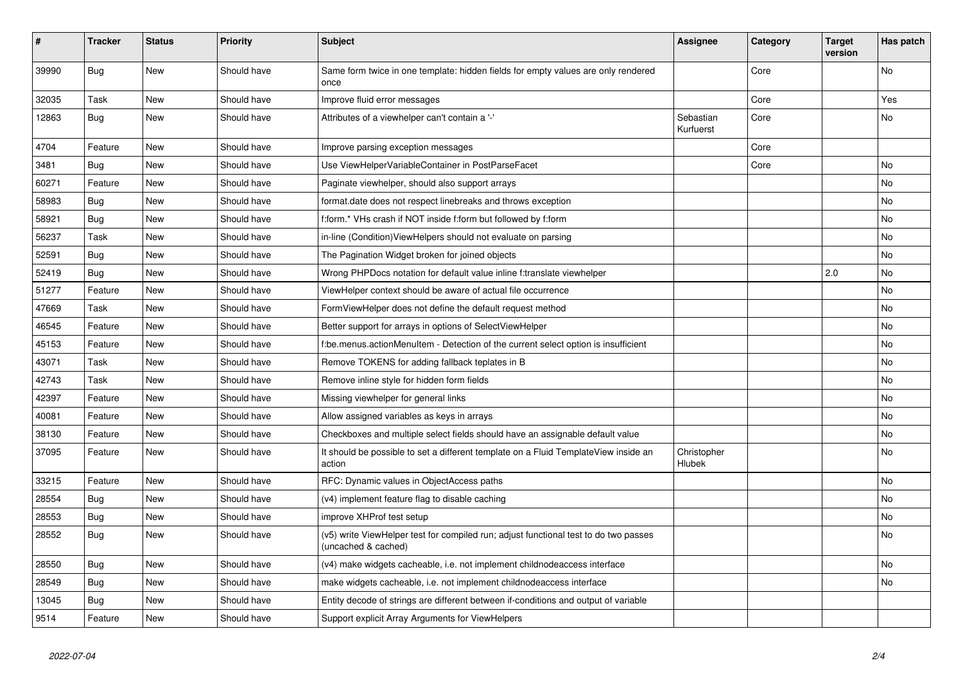| #     | <b>Tracker</b> | <b>Status</b> | <b>Priority</b> | <b>Subject</b>                                                                                              | <b>Assignee</b>        | Category | <b>Target</b><br>version | Has patch |
|-------|----------------|---------------|-----------------|-------------------------------------------------------------------------------------------------------------|------------------------|----------|--------------------------|-----------|
| 39990 | Bug            | <b>New</b>    | Should have     | Same form twice in one template: hidden fields for empty values are only rendered<br>once                   |                        | Core     |                          | <b>No</b> |
| 32035 | Task           | New           | Should have     | Improve fluid error messages                                                                                |                        | Core     |                          | Yes       |
| 12863 | Bug            | <b>New</b>    | Should have     | Attributes of a viewhelper can't contain a '-'                                                              | Sebastian<br>Kurfuerst | Core     |                          | <b>No</b> |
| 4704  | Feature        | New           | Should have     | Improve parsing exception messages                                                                          |                        | Core     |                          |           |
| 3481  | <b>Bug</b>     | New           | Should have     | Use ViewHelperVariableContainer in PostParseFacet                                                           |                        | Core     |                          | No        |
| 60271 | Feature        | <b>New</b>    | Should have     | Paginate viewhelper, should also support arrays                                                             |                        |          |                          | No        |
| 58983 | Bug            | <b>New</b>    | Should have     | format.date does not respect linebreaks and throws exception                                                |                        |          |                          | No        |
| 58921 | <b>Bug</b>     | New           | Should have     | f:form.* VHs crash if NOT inside f:form but followed by f:form                                              |                        |          |                          | No        |
| 56237 | Task           | <b>New</b>    | Should have     | in-line (Condition) ViewHelpers should not evaluate on parsing                                              |                        |          |                          | No        |
| 52591 | Bug            | <b>New</b>    | Should have     | The Pagination Widget broken for joined objects                                                             |                        |          |                          | No.       |
| 52419 | Bug            | New           | Should have     | Wrong PHPDocs notation for default value inline f:translate viewhelper                                      |                        |          | 2.0                      | No        |
| 51277 | Feature        | New           | Should have     | ViewHelper context should be aware of actual file occurrence                                                |                        |          |                          | No        |
| 47669 | Task           | <b>New</b>    | Should have     | FormViewHelper does not define the default request method                                                   |                        |          |                          | No        |
| 46545 | Feature        | New           | Should have     | Better support for arrays in options of SelectViewHelper                                                    |                        |          |                          | No        |
| 45153 | Feature        | New           | Should have     | f:be.menus.actionMenuItem - Detection of the current select option is insufficient                          |                        |          |                          | No        |
| 43071 | Task           | New           | Should have     | Remove TOKENS for adding fallback teplates in B                                                             |                        |          |                          | No        |
| 42743 | Task           | <b>New</b>    | Should have     | Remove inline style for hidden form fields                                                                  |                        |          |                          | No        |
| 42397 | Feature        | New           | Should have     | Missing viewhelper for general links                                                                        |                        |          |                          | No        |
| 40081 | Feature        | <b>New</b>    | Should have     | Allow assigned variables as keys in arrays                                                                  |                        |          |                          | No        |
| 38130 | Feature        | <b>New</b>    | Should have     | Checkboxes and multiple select fields should have an assignable default value                               |                        |          |                          | No        |
| 37095 | Feature        | New           | Should have     | It should be possible to set a different template on a Fluid TemplateView inside an<br>action               | Christopher<br>Hlubek  |          |                          | No        |
| 33215 | Feature        | <b>New</b>    | Should have     | RFC: Dynamic values in ObjectAccess paths                                                                   |                        |          |                          | No        |
| 28554 | Bug            | <b>New</b>    | Should have     | (v4) implement feature flag to disable caching                                                              |                        |          |                          | No        |
| 28553 | Bug            | New           | Should have     | improve XHProf test setup                                                                                   |                        |          |                          | No        |
| 28552 | Bug            | <b>New</b>    | Should have     | (v5) write ViewHelper test for compiled run; adjust functional test to do two passes<br>(uncached & cached) |                        |          |                          | No        |
| 28550 | Bug            | New           | Should have     | (v4) make widgets cacheable, i.e. not implement childnodeaccess interface                                   |                        |          |                          | No        |
| 28549 | Bug            | New           | Should have     | make widgets cacheable, i.e. not implement childnodeaccess interface                                        |                        |          |                          | No        |
| 13045 | Bug            | <b>New</b>    | Should have     | Entity decode of strings are different between if-conditions and output of variable                         |                        |          |                          |           |
| 9514  | Feature        | New           | Should have     | Support explicit Array Arguments for ViewHelpers                                                            |                        |          |                          |           |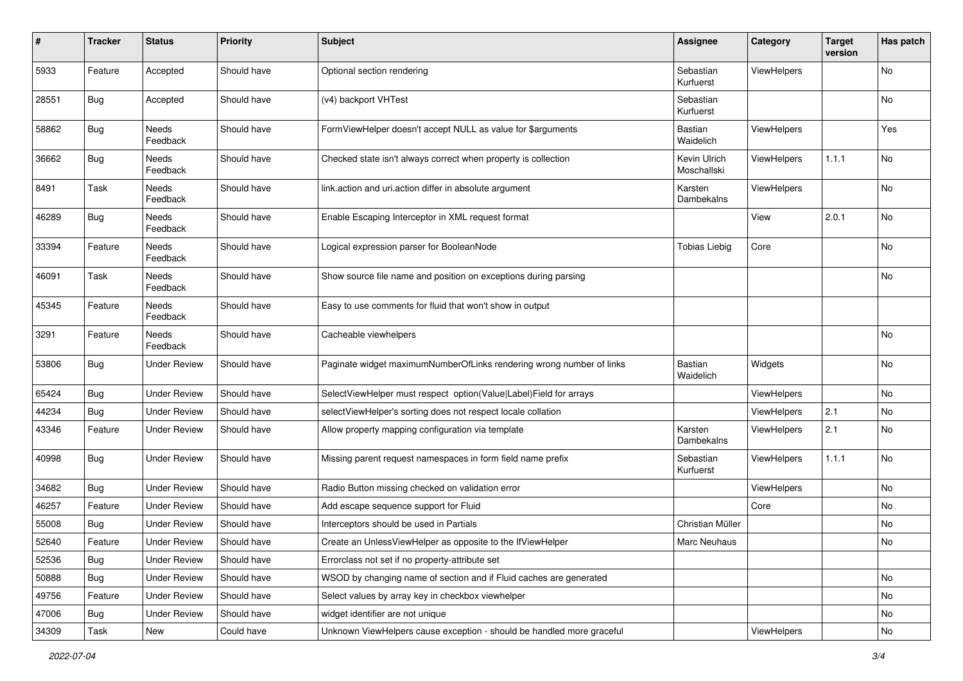| $\pmb{\#}$ | <b>Tracker</b> | <b>Status</b>       | <b>Priority</b> | <b>Subject</b>                                                        | <b>Assignee</b>             | Category    | <b>Target</b><br>version | Has patch |
|------------|----------------|---------------------|-----------------|-----------------------------------------------------------------------|-----------------------------|-------------|--------------------------|-----------|
| 5933       | Feature        | Accepted            | Should have     | Optional section rendering                                            | Sebastian<br>Kurfuerst      | ViewHelpers |                          | No        |
| 28551      | <b>Bug</b>     | Accepted            | Should have     | (v4) backport VHTest                                                  | Sebastian<br>Kurfuerst      |             |                          | No        |
| 58862      | <b>Bug</b>     | Needs<br>Feedback   | Should have     | FormViewHelper doesn't accept NULL as value for \$arguments           | Bastian<br>Waidelich        | ViewHelpers |                          | Yes       |
| 36662      | Bug            | Needs<br>Feedback   | Should have     | Checked state isn't always correct when property is collection        | Kevin Ulrich<br>Moschallski | ViewHelpers | 1.1.1                    | No        |
| 8491       | Task           | Needs<br>Feedback   | Should have     | link.action and uri.action differ in absolute argument                | Karsten<br>Dambekalns       | ViewHelpers |                          | No        |
| 46289      | Bug            | Needs<br>Feedback   | Should have     | Enable Escaping Interceptor in XML request format                     |                             | View        | 2.0.1                    | No        |
| 33394      | Feature        | Needs<br>Feedback   | Should have     | Logical expression parser for BooleanNode                             | <b>Tobias Liebig</b>        | Core        |                          | No        |
| 46091      | Task           | Needs<br>Feedback   | Should have     | Show source file name and position on exceptions during parsing       |                             |             |                          | No        |
| 45345      | Feature        | Needs<br>Feedback   | Should have     | Easy to use comments for fluid that won't show in output              |                             |             |                          |           |
| 3291       | Feature        | Needs<br>Feedback   | Should have     | Cacheable viewhelpers                                                 |                             |             |                          | No        |
| 53806      | Bug            | <b>Under Review</b> | Should have     | Paginate widget maximumNumberOfLinks rendering wrong number of links  | Bastian<br>Waidelich        | Widgets     |                          | No        |
| 65424      | Bug            | <b>Under Review</b> | Should have     | SelectViewHelper must respect option(Value Label)Field for arrays     |                             | ViewHelpers |                          | No        |
| 44234      | Bug            | <b>Under Review</b> | Should have     | selectViewHelper's sorting does not respect locale collation          |                             | ViewHelpers | 2.1                      | No        |
| 43346      | Feature        | <b>Under Review</b> | Should have     | Allow property mapping configuration via template                     | Karsten<br>Dambekalns       | ViewHelpers | 2.1                      | No        |
| 40998      | Bug            | <b>Under Review</b> | Should have     | Missing parent request namespaces in form field name prefix           | Sebastian<br>Kurfuerst      | ViewHelpers | 1.1.1                    | No        |
| 34682      | Bug            | <b>Under Review</b> | Should have     | Radio Button missing checked on validation error                      |                             | ViewHelpers |                          | No        |
| 46257      | Feature        | <b>Under Review</b> | Should have     | Add escape sequence support for Fluid                                 |                             | Core        |                          | No        |
| 55008      | Bug            | <b>Under Review</b> | Should have     | Interceptors should be used in Partials                               | Christian Müller            |             |                          | No        |
| 52640      | Feature        | <b>Under Review</b> | Should have     | Create an UnlessViewHelper as opposite to the IfViewHelper            | Marc Neuhaus                |             |                          | No        |
| 52536      | Bug            | <b>Under Review</b> | Should have     | Errorclass not set if no property-attribute set                       |                             |             |                          |           |
| 50888      | <b>Bug</b>     | <b>Under Review</b> | Should have     | WSOD by changing name of section and if Fluid caches are generated    |                             |             |                          | No        |
| 49756      | Feature        | <b>Under Review</b> | Should have     | Select values by array key in checkbox viewhelper                     |                             |             |                          | No        |
| 47006      | Bug            | <b>Under Review</b> | Should have     | widget identifier are not unique                                      |                             |             |                          | No        |
| 34309      | Task           | New                 | Could have      | Unknown ViewHelpers cause exception - should be handled more graceful |                             | ViewHelpers |                          | No        |